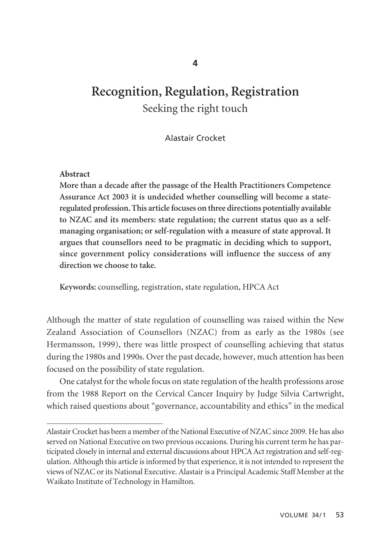# **Recognition, Regulation, Registration** Seeking the right touch

Alastair Crocket

#### **Abstract**

**More than a decade after the passage of the Health Practitioners Competence Assurance Act 2003 it is undecided whether counselling will become a stateregulated profession. This article focuses on three directions potentially available to NZAC and its members: state regulation; the current status quo as a selfmanaging organisation; or self-regulation with a measure of state approval. It argues that counsellors need to be pragmatic in deciding which to support, since government policy considerations will influence the success of any direction we choose to take.**

**Keywords:** counselling, registration, state regulation, HPCA Act

Although the matter of state regulation of counselling was raised within the New Zealand Association of Counsellors (NZAC) from as early as the 1980s (see Hermansson, 1999), there was little prospect of counselling achieving that status during the 1980s and 1990s. Over the past decade, however, much attention has been focused on the possibility of state regulation.

One catalyst for the whole focus on state regulation of the health professions arose from the 1988 Report on the Cervical Cancer Inquiry by Judge Silvia Cartwright, which raised questions about "governance, accountability and ethics" in the medical

Alastair Crocket has been a member of the National Executive of NZAC since 2009. He has also served on National Executive on two previous occasions. During his current term he has participated closely in internal and external discussions about HPCA Act registration and self-regulation. Although this article is informed by that experience, it is not intended to represent the views of NZAC or its National Executive. Alastair is a Principal Academic Staff Member at the Waikato Institute of Technology in Hamilton.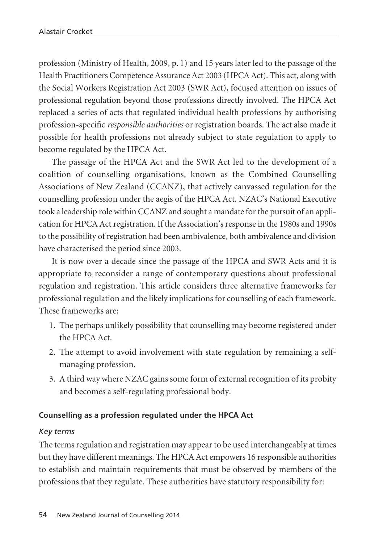profession (Ministry of Health, 2009, p. 1) and 15 years later led to the passage of the Health Practitioners Competence Assurance Act 2003 (HPCA Act). This act, along with the Social Workers Registration Act 2003 (SWR Act), focused attention on issues of professional regulation beyond those professions directly involved. The HPCA Act replaced a series of acts that regulated individual health professions by authorising profession-specific *responsible authorities* or registration boards. The act also made it possible for health professions not already subject to state regulation to apply to become regulated by the HPCA Act.

The passage of the HPCA Act and the SWR Act led to the development of a coalition of counselling organisations, known as the Combined Counselling Associations of New Zealand (CCANZ), that actively canvassed regulation for the counselling profession under the aegis of the HPCA Act. NZAC's National Executive took a leadership role within CCANZ and sought a mandate for the pursuit of an application for HPCA Act registration. If the Association's response in the 1980s and 1990s to the possibility of registration had been ambivalence, both ambivalence and division have characterised the period since 2003.

It is now over a decade since the passage of the HPCA and SWR Acts and it is appropriate to reconsider a range of contemporary questions about professional regulation and registration. This article considers three alternative frameworks for professional regulation and the likely implications for counselling of each framework. These frameworks are:

- 1. The perhaps unlikely possibility that counselling may become registered under the HPCA Act.
- 2. The attempt to avoid involvement with state regulation by remaining a selfmanaging profession.
- 3. A third way where NZAC gains some form of external recognition of its probity and becomes a self-regulating professional body.

# **Counselling as a profession regulated under the HPCA Act**

# *Key terms*

The terms regulation and registration may appear to be used interchangeably at times but they have different meanings. The HPCA Act empowers 16 responsible authorities to establish and maintain requirements that must be observed by members of the professions that they regulate. These authorities have statutory responsibility for: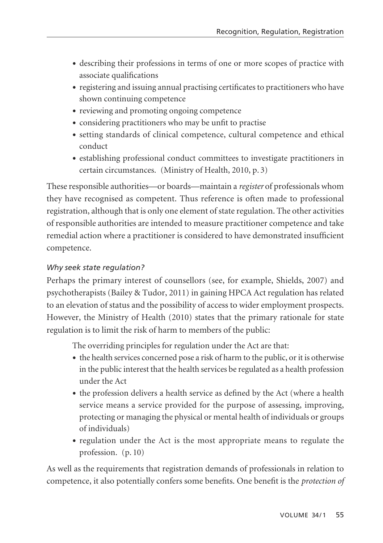- describing their professions in terms of one or more scopes of practice with associate qualifications
- registering and issuing annual practising certificates to practitioners who have shown continuing competence
- reviewing and promoting ongoing competence
- considering practitioners who may be unfit to practise
- setting standards of clinical competence, cultural competence and ethical conduct
- establishing professional conduct committees to investigate practitioners in certain circumstances. (Ministry of Health, 2010, p. 3)

These responsible authorities—or boards—maintain a *register* of professionals whom they have recognised as competent. Thus reference is often made to professional registration, although that is only one element of state regulation. The other activities of responsible authorities are intended to measure practitioner competence and take remedial action where a practitioner is considered to have demonstrated insufficient competence.

# *Why seek state regulation?*

Perhaps the primary interest of counsellors (see, for example, Shields, 2007) and psychotherapists (Bailey & Tudor, 2011) in gaining HPCA Act regulation has related to an elevation of status and the possibility of access to wider employment prospects. However, the Ministry of Health (2010) states that the primary rationale for state regulation is to limit the risk of harm to members of the public:

The overriding principles for regulation under the Act are that:

- the health services concerned pose a risk of harm to the public, or it is otherwise in the public interest that the health services be regulated as a health profession under the Act
- the profession delivers a health service as defined by the Act (where a health service means a service provided for the purpose of assessing, improving, protecting or managing the physical or mental health of individuals or groups of individuals)
- regulation under the Act is the most appropriate means to regulate the profession. (p. 10)

As well as the requirements that registration demands of professionals in relation to competence, it also potentially confers some benefits. One benefit is the *protection of*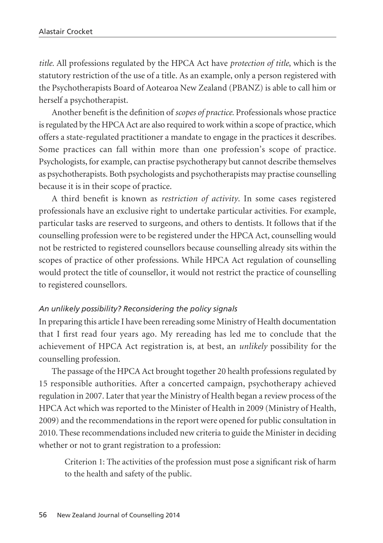*title.* All professions regulated by the HPCA Act have *protection of title*, which is the statutory restriction of the use of a title. As an example, only a person registered with the Psychotherapists Board of Aotearoa New Zealand (PBANZ) is able to call him or herself a psychotherapist.

Another benefit is the definition of *scopes of practice.* Professionals whose practice is regulated by the HPCA Act are also required to work within a scope of practice, which offers a state-regulated practitioner a mandate to engage in the practices it describes. Some practices can fall within more than one profession's scope of practice. Psychologists, for example, can practise psychotherapy but cannot describe themselves as psychotherapists. Both psychologists and psychotherapists may practise counselling because it is in their scope of practice.

A third benefit is known as *restriction of activity*. In some cases registered professionals have an exclusive right to undertake particular activities. For example, particular tasks are reserved to surgeons, and others to dentists. It follows that if the counselling profession were to be registered under the HPCA Act, counselling would not be restricted to registered counsellors because counselling already sits within the scopes of practice of other professions. While HPCA Act regulation of counselling would protect the title of counsellor, it would not restrict the practice of counselling to registered counsellors.

#### *An unlikely possibility? Reconsidering the policy signals*

In preparing this article I have been rereading some Ministry of Health documentation that I first read four years ago. My rereading has led me to conclude that the achievement of HPCA Act registration is, at best, an *unlikely* possibility for the counselling profession.

The passage of the HPCA Act brought together 20 health professions regulated by 15 responsible authorities. After a concerted campaign, psychotherapy achieved regulation in 2007. Later that year the Ministry of Health began a review process of the HPCA Act which was reported to the Minister of Health in 2009 (Ministry of Health, 2009) and the recommendations in the report were opened for public consultation in 2010. These recommendations included new criteria to guide the Minister in deciding whether or not to grant registration to a profession:

Criterion 1: The activities of the profession must pose a significant risk of harm to the health and safety of the public.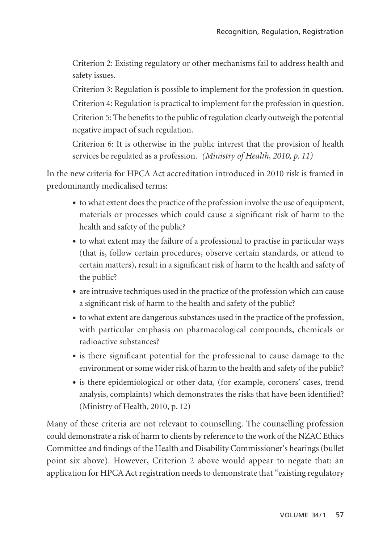Criterion 2: Existing regulatory or other mechanisms fail to address health and safety issues.

Criterion 3: Regulation is possible to implement for the profession in question. Criterion 4: Regulation is practical to implement for the profession in question. Criterion 5: The benefits to the public of regulation clearly outweigh the potential negative impact of such regulation.

Criterion 6: It is otherwise in the public interest that the provision of health services be regulated as a profession. *(Ministry of Health, 2010, p. 11)*

In the new criteria for HPCA Act accreditation introduced in 2010 risk is framed in predominantly medicalised terms:

- to what extent does the practice of the profession involve the use of equipment, materials or processes which could cause a significant risk of harm to the health and safety of the public?
- to what extent may the failure of a professional to practise in particular ways (that is, follow certain procedures, observe certain standards, or attend to certain matters), result in a significant risk of harm to the health and safety of the public?
- are intrusive techniques used in the practice of the profession which can cause a significant risk of harm to the health and safety of the public?
- to what extent are dangerous substances used in the practice of the profession, with particular emphasis on pharmacological compounds, chemicals or radioactive substances?
- is there significant potential for the professional to cause damage to the environment or some wider risk of harm to the health and safety of the public?
- is there epidemiological or other data, (for example, coroners' cases, trend analysis, complaints) which demonstrates the risks that have been identified? (Ministry of Health, 2010, p. 12)

Many of these criteria are not relevant to counselling. The counselling profession could demonstrate a risk of harm to clients by reference to the work of the NZAC Ethics Committee and findings of the Health and Disability Commissioner's hearings (bullet point six above). However, Criterion 2 above would appear to negate that: an application for HPCA Act registration needs to demonstrate that "existing regulatory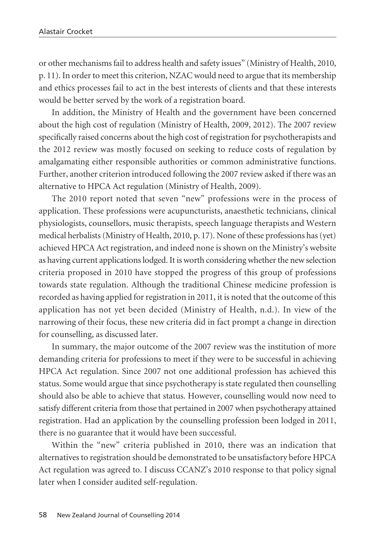or other mechanisms fail to address health and safety issues" (Ministry of Health, 2010, p. 11). In order to meet this criterion, NZAC would need to argue that its membership and ethics processes fail to act in the best interests of clients and that these interests would be better served by the work of a registration board.

In addition, the Ministry of Health and the government have been concerned about the high cost of regulation (Ministry of Health, 2009, 2012). The 2007 review specifically raised concerns about the high cost of registration for psychotherapists and the 2012 review was mostly focused on seeking to reduce costs of regulation by amalgamating either responsible authorities or common administrative functions. Further, another criterion introduced following the 2007 review asked if there was an alternative to HPCA Act regulation (Ministry of Health, 2009).

The 2010 report noted that seven "new" professions were in the process of application. These professions were acupuncturists, anaesthetic technicians, clinical physiologists, counsellors, music therapists, speech language therapists and Western medical herbalists (Ministry of Health, 2010, p. 17). None of these professions has (yet) achieved HPCA Act registration, and indeed none is shown on the Ministry's website as having current applications lodged. It is worth considering whether the new selection criteria proposed in 2010 have stopped the progress of this group of professions towards state regulation. Although the traditional Chinese medicine profession is recorded as having applied for registration in 2011, it is noted that the outcome of this application has not yet been decided (Ministry of Health, n.d.). In view of the narrowing of their focus, these new criteria did in fact prompt a change in direction for counselling, as discussed later.

In summary, the major outcome of the 2007 review was the institution of more demanding criteria for professions to meet if they were to be successful in achieving HPCA Act regulation. Since 2007 not one additional profession has achieved this status. Some would argue that since psychotherapy is state regulated then counselling should also be able to achieve that status. However, counselling would now need to satisfy different criteria from those that pertained in 2007 when psychotherapy attained registration. Had an application by the counselling profession been lodged in 2011, there is no guarantee that it would have been successful.

Within the "new" criteria published in 2010, there was an indication that alternatives to registration should be demonstrated to be unsatisfactory before HPCA Act regulation was agreed to. I discuss CCANZ's 2010 response to that policy signal later when I consider audited self-regulation.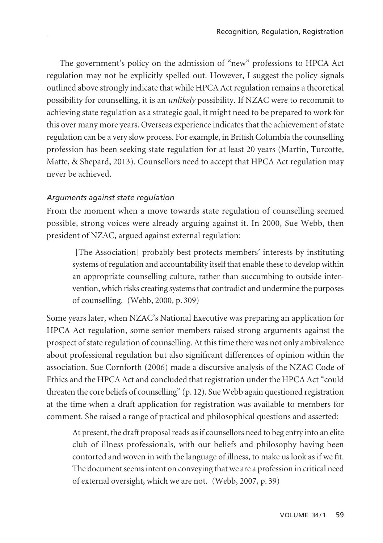The government's policy on the admission of "new" professions to HPCA Act regulation may not be explicitly spelled out. However, I suggest the policy signals outlined above strongly indicate that while HPCA Act regulation remains a theoretical possibility for counselling, it is an *unlikely* possibility. If NZAC were to recommit to achieving state regulation as a strategic goal, it might need to be prepared to work for this over many more years. Overseas experience indicates that the achievement of state regulation can be a very slow process. For example, in British Columbia the counselling profession has been seeking state regulation for at least 20 years (Martin, Turcotte, Matte, & Shepard, 2013). Counsellors need to accept that HPCA Act regulation may never be achieved.

# *Arguments against state regulation*

From the moment when a move towards state regulation of counselling seemed possible, strong voices were already arguing against it. In 2000, Sue Webb, then president of NZAC, argued against external regulation:

[The Association] probably best protects members' interests by instituting systems of regulation and accountability itself that enable these to develop within an appropriate counselling culture, rather than succumbing to outside intervention, which risks creating systems that contradict and undermine the purposes of counselling. (Webb, 2000, p. 309)

Some years later, when NZAC's National Executive was preparing an application for HPCA Act regulation, some senior members raised strong arguments against the prospect of state regulation of counselling. At this time there was not only ambivalence about professional regulation but also significant differences of opinion within the association. Sue Cornforth (2006) made a discursive analysis of the NZAC Code of Ethics and the HPCA Act and concluded that registration under the HPCA Act "could threaten the core beliefs of counselling" (p. 12). Sue Webb again questioned registration at the time when a draft application for registration was available to members for comment. She raised a range of practical and philosophical questions and asserted:

At present, the draft proposal reads as if counsellors need to beg entry into an elite club of illness professionals, with our beliefs and philosophy having been contorted and woven in with the language of illness, to make us look as if we fit. The document seems intent on conveying that we are a profession in critical need of external oversight, which we are not. (Webb, 2007, p. 39)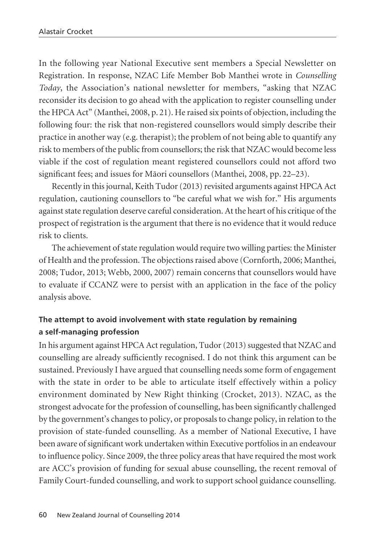In the following year National Executive sent members a Special Newsletter on Registration. In response, NZAC Life Member Bob Manthei wrote in *Counselling Today*, the Association's national newsletter for members, "asking that NZAC reconsider its decision to go ahead with the application to register counselling under the HPCA Act" (Manthei, 2008, p. 21). He raised six points of objection, including the following four: the risk that non-registered counsellors would simply describe their practice in another way (e.g. therapist); the problem of not being able to quantify any risk to members of the public from counsellors; the risk that NZAC would become less viable if the cost of regulation meant registered counsellors could not afford two significant fees; and issues for Mäori counsellors (Manthei, 2008, pp. 22–23).

Recently in this journal, Keith Tudor (2013) revisited arguments against HPCA Act regulation, cautioning counsellors to "be careful what we wish for." His arguments against state regulation deserve careful consideration. At the heart of his critique of the prospect of registration is the argument that there is no evidence that it would reduce risk to clients.

The achievement of state regulation would require two willing parties: the Minister of Health and the profession. The objections raised above (Cornforth, 2006; Manthei, 2008; Tudor, 2013; Webb, 2000, 2007) remain concerns that counsellors would have to evaluate if CCANZ were to persist with an application in the face of the policy analysis above.

# **The attempt to avoid involvement with state regulation by remaining a self-managing profession**

In his argument against HPCA Act regulation, Tudor (2013) suggested that NZAC and counselling are already sufficiently recognised. I do not think this argument can be sustained. Previously I have argued that counselling needs some form of engagement with the state in order to be able to articulate itself effectively within a policy environment dominated by New Right thinking (Crocket, 2013). NZAC, as the strongest advocate for the profession of counselling, has been significantly challenged by the government's changes to policy, or proposals to change policy, in relation to the provision of state-funded counselling. As a member of National Executive, I have been aware of significant work undertaken within Executive portfolios in an endeavour to influence policy. Since 2009, the three policy areas that have required the most work are ACC's provision of funding for sexual abuse counselling, the recent removal of Family Court-funded counselling, and work to support school guidance counselling.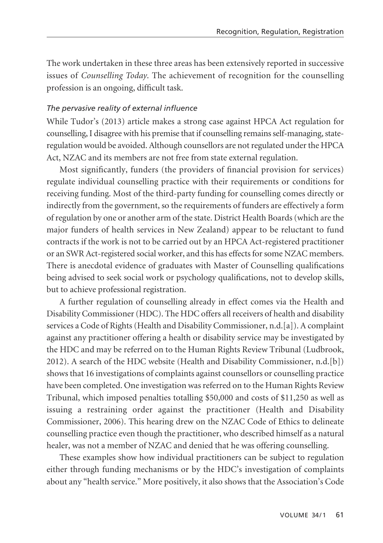The work undertaken in these three areas has been extensively reported in successive issues of *Counselling Today*. The achievement of recognition for the counselling profession is an ongoing, difficult task.

#### *The pervasive reality of external influence*

While Tudor's (2013) article makes a strong case against HPCA Act regulation for counselling, I disagree with his premise that if counselling remains self-managing, stateregulation would be avoided. Although counsellors are not regulated under the HPCA Act, NZAC and its members are not free from state external regulation.

Most significantly, funders (the providers of financial provision for services) regulate individual counselling practice with their requirements or conditions for receiving funding. Most of the third-party funding for counselling comes directly or indirectly from the government, so the requirements of funders are effectively a form of regulation by one or another arm of the state. District Health Boards (which are the major funders of health services in New Zealand) appear to be reluctant to fund contracts if the work is not to be carried out by an HPCA Act-registered practitioner or an SWR Act-registered social worker, and this has effects for some NZAC members. There is anecdotal evidence of graduates with Master of Counselling qualifications being advised to seek social work or psychology qualifications, not to develop skills, but to achieve professional registration.

A further regulation of counselling already in effect comes via the Health and Disability Commissioner (HDC). The HDC offers all receivers of health and disability services a Code of Rights (Health and Disability Commissioner, n.d.[a]). A complaint against any practitioner offering a health or disability service may be investigated by the HDC and may be referred on to the Human Rights Review Tribunal (Ludbrook, 2012). A search of the HDC website (Health and Disability Commissioner, n.d.[b]) shows that 16 investigations of complaints against counsellors or counselling practice have been completed. One investigation was referred on to the Human Rights Review Tribunal, which imposed penalties totalling \$50,000 and costs of \$11,250 as well as issuing a restraining order against the practitioner (Health and Disability Commissioner, 2006). This hearing drew on the NZAC Code of Ethics to delineate counselling practice even though the practitioner, who described himself as a natural healer, was not a member of NZAC and denied that he was offering counselling.

These examples show how individual practitioners can be subject to regulation either through funding mechanisms or by the HDC's investigation of complaints about any "health service." More positively, it also shows that the Association's Code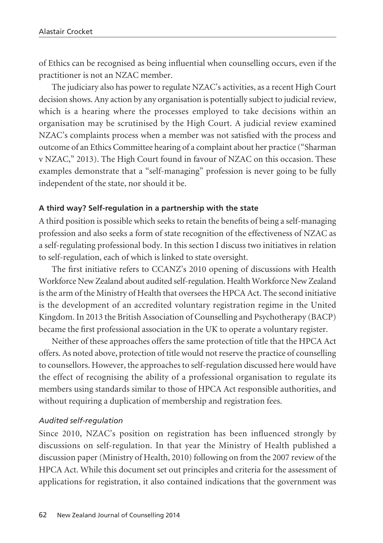of Ethics can be recognised as being influential when counselling occurs, even if the practitioner is not an NZAC member.

The judiciary also has power to regulate NZAC's activities, as a recent High Court decision shows. Any action by any organisation is potentially subject to judicial review, which is a hearing where the processes employed to take decisions within an organisation may be scrutinised by the High Court. A judicial review examined NZAC's complaints process when a member was not satisfied with the process and outcome of an Ethics Committee hearing of a complaint about her practice ("Sharman v NZAC," 2013). The High Court found in favour of NZAC on this occasion. These examples demonstrate that a "self-managing" profession is never going to be fully independent of the state, nor should it be.

#### **A third way? Self-regulation in a partnership with the state**

A third position is possible which seeks to retain the benefits of being a self-managing profession and also seeks a form of state recognition of the effectiveness of NZAC as a self-regulating professional body. In this section I discuss two initiatives in relation to self-regulation, each of which is linked to state oversight.

The first initiative refers to CCANZ's 2010 opening of discussions with Health Workforce New Zealand about audited self-regulation. Health Workforce New Zealand is the arm of the Ministry of Health that oversees the HPCA Act. The second initiative is the development of an accredited voluntary registration regime in the United Kingdom. In 2013 the British Association of Counselling and Psychotherapy (BACP) became the first professional association in the UK to operate a voluntary register.

Neither of these approaches offers the same protection of title that the HPCA Act offers. As noted above, protection of title would not reserve the practice of counselling to counsellors. However, the approaches to self-regulation discussed here would have the effect of recognising the ability of a professional organisation to regulate its members using standards similar to those of HPCA Act responsible authorities, and without requiring a duplication of membership and registration fees.

#### *Audited self-regulation*

Since 2010, NZAC's position on registration has been influenced strongly by discussions on self-regulation. In that year the Ministry of Health published a discussion paper (Ministry of Health, 2010) following on from the 2007 review of the HPCA Act. While this document set out principles and criteria for the assessment of applications for registration, it also contained indications that the government was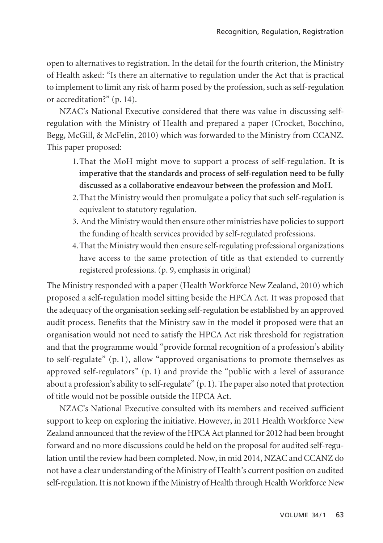open to alternatives to registration. In the detail for the fourth criterion, the Ministry of Health asked: "Is there an alternative to regulation under the Act that is practical to implement to limit any risk of harm posed by the profession, such as self-regulation or accreditation?" (p. 14).

NZAC's National Executive considered that there was value in discussing selfregulation with the Ministry of Health and prepared a paper (Crocket, Bocchino, Begg, McGill, & McFelin, 2010) which was forwarded to the Ministry from CCANZ. This paper proposed:

- 1.That the MoH might move to support a process of self-regulation. **It is imperative that the standards and process of self-regulation need to be fully discussed as a collaborative endeavour between the profession and MoH.**
- 2.That the Ministry would then promulgate a policy that such self-regulation is equivalent to statutory regulation.
- 3. And the Ministry would then ensure other ministries have policies to support the funding of health services provided by self-regulated professions.
- 4.That the Ministry would then ensure self-regulating professional organizations have access to the same protection of title as that extended to currently registered professions. (p. 9, emphasis in original)

The Ministry responded with a paper (Health Workforce New Zealand, 2010) which proposed a self-regulation model sitting beside the HPCA Act. It was proposed that the adequacy of the organisation seeking self-regulation be established by an approved audit process. Benefits that the Ministry saw in the model it proposed were that an organisation would not need to satisfy the HPCA Act risk threshold for registration and that the programme would "provide formal recognition of a profession's ability to self-regulate" (p. 1), allow "approved organisations to promote themselves as approved self-regulators" (p. 1) and provide the "public with a level of assurance about a profession's ability to self-regulate" (p. 1). The paper also noted that protection of title would not be possible outside the HPCA Act.

NZAC's National Executive consulted with its members and received sufficient support to keep on exploring the initiative. However, in 2011 Health Workforce New Zealand announced that the review of the HPCA Act planned for 2012 had been brought forward and no more discussions could be held on the proposal for audited self-regulation until the review had been completed. Now, in mid 2014, NZAC and CCANZ do not have a clear understanding of the Ministry of Health's current position on audited self-regulation. It is not known if the Ministry of Health through Health Workforce New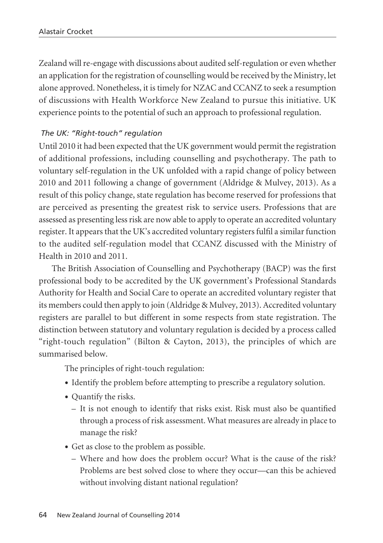Zealand will re-engage with discussions about audited self-regulation or even whether an application for the registration of counselling would be received by the Ministry, let alone approved. Nonetheless, it is timely for NZAC and CCANZ to seek a resumption of discussions with Health Workforce New Zealand to pursue this initiative. UK experience points to the potential of such an approach to professional regulation.

# *The UK: "Right-touch" regulation*

Until 2010 it had been expected that the UK government would permit the registration of additional professions, including counselling and psychotherapy. The path to voluntary self-regulation in the UK unfolded with a rapid change of policy between 2010 and 2011 following a change of government (Aldridge & Mulvey, 2013). As a result of this policy change, state regulation has become reserved for professions that are perceived as presenting the greatest risk to service users. Professions that are assessed as presenting less risk are now able to apply to operate an accredited voluntary register. It appears that the UK's accredited voluntary registers fulfil a similar function to the audited self-regulation model that CCANZ discussed with the Ministry of Health in 2010 and 2011.

The British Association of Counselling and Psychotherapy (BACP) was the first professional body to be accredited by the UK government's Professional Standards Authority for Health and Social Care to operate an accredited voluntary register that its members could then apply to join (Aldridge & Mulvey, 2013). Accredited voluntary registers are parallel to but different in some respects from state registration. The distinction between statutory and voluntary regulation is decided by a process called "right-touch regulation" (Bilton & Cayton, 2013), the principles of which are summarised below.

The principles of right-touch regulation:

- Identify the problem before attempting to prescribe a regulatory solution.
- Quantify the risks.
	- It is not enough to identify that risks exist. Risk must also be quantified through a process of risk assessment. What measures are already in place to manage the risk?
- Get as close to the problem as possible.
	- Where and how does the problem occur? What is the cause of the risk? Problems are best solved close to where they occur—can this be achieved without involving distant national regulation?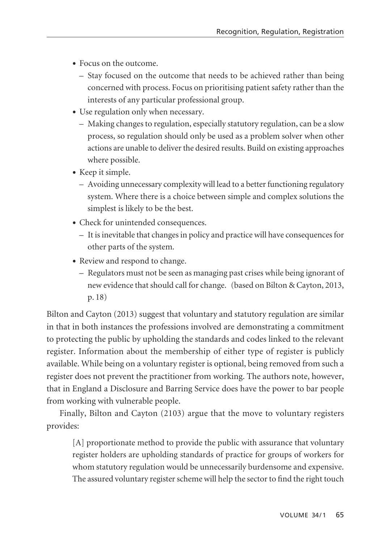- Focus on the outcome.
	- Stay focused on the outcome that needs to be achieved rather than being concerned with process. Focus on prioritising patient safety rather than the interests of any particular professional group.
- Use regulation only when necessary.
	- Making changes to regulation, especially statutory regulation, can be a slow process, so regulation should only be used as a problem solver when other actions are unable to deliver the desired results. Build on existing approaches where possible.
- Keep it simple.
	- Avoiding unnecessary complexity will lead to a better functioning regulatory system. Where there is a choice between simple and complex solutions the simplest is likely to be the best.
- Check for unintended consequences.
	- It is inevitable that changes in policy and practice will have consequences for other parts of the system.
- Review and respond to change.
	- Regulators must not be seen as managing past crises while being ignorant of new evidence that should call for change. (based on Bilton & Cayton, 2013, p. 18)

Bilton and Cayton (2013) suggest that voluntary and statutory regulation are similar in that in both instances the professions involved are demonstrating a commitment to protecting the public by upholding the standards and codes linked to the relevant register. Information about the membership of either type of register is publicly available. While being on a voluntary register is optional, being removed from such a register does not prevent the practitioner from working. The authors note, however, that in England a Disclosure and Barring Service does have the power to bar people from working with vulnerable people.

Finally, Bilton and Cayton (2103) argue that the move to voluntary registers provides:

[A] proportionate method to provide the public with assurance that voluntary register holders are upholding standards of practice for groups of workers for whom statutory regulation would be unnecessarily burdensome and expensive. The assured voluntary register scheme will help the sector to find the right touch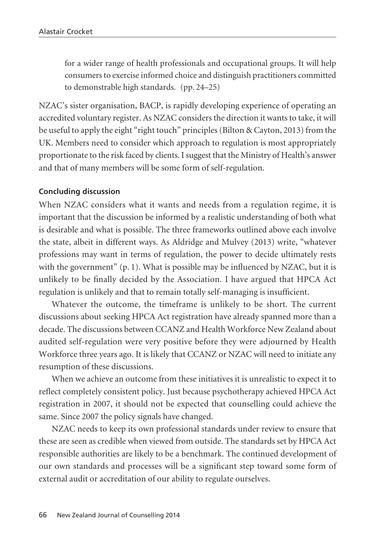for a wider range of health professionals and occupational groups. It will help consumers to exercise informed choice and distinguish practitioners committed to demonstrable high standards. (pp. 24–25)

NZAC's sister organisation, BACP, is rapidly developing experience of operating an accredited voluntary register. As NZAC considers the direction it wants to take, it will be useful to apply the eight "right touch" principles (Bilton & Cayton, 2013) from the UK. Members need to consider which approach to regulation is most appropriately proportionate to the risk faced by clients. I suggest that the Ministry of Health's answer and that of many members will be some form of self-regulation.

#### **Concluding discussion**

When NZAC considers what it wants and needs from a regulation regime, it is important that the discussion be informed by a realistic understanding of both what is desirable and what is possible. The three frameworks outlined above each involve the state, albeit in different ways. As Aldridge and Mulvey (2013) write, "whatever professions may want in terms of regulation, the power to decide ultimately rests with the government" (p. 1). What is possible may be influenced by NZAC, but it is unlikely to be finally decided by the Association. I have argued that HPCA Act regulation is unlikely and that to remain totally self-managing is insufficient.

Whatever the outcome, the timeframe is unlikely to be short. The current discussions about seeking HPCA Act registration have already spanned more than a decade. The discussions between CCANZ and Health Workforce New Zealand about audited self-regulation were very positive before they were adjourned by Health Workforce three years ago. It is likely that CCANZ or NZAC will need to initiate any resumption of these discussions.

When we achieve an outcome from these initiatives it is unrealistic to expect it to reflect completely consistent policy. Just because psychotherapy achieved HPCA Act registration in 2007, it should not be expected that counselling could achieve the same. Since 2007 the policy signals have changed.

NZAC needs to keep its own professional standards under review to ensure that these are seen as credible when viewed from outside. The standards set by HPCA Act responsible authorities are likely to be a benchmark. The continued development of our own standards and processes will be a significant step toward some form of external audit or accreditation of our ability to regulate ourselves.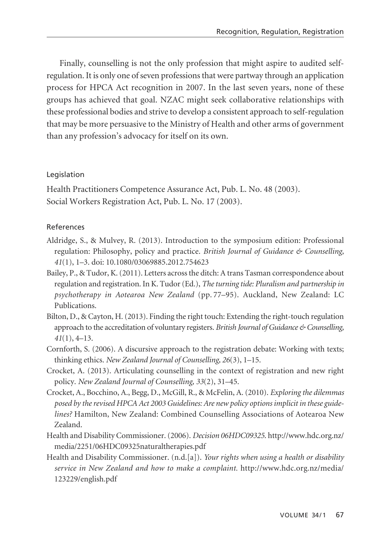Finally, counselling is not the only profession that might aspire to audited selfregulation. It is only one of seven professions that were partway through an application process for HPCA Act recognition in 2007. In the last seven years, none of these groups has achieved that goal. NZAC might seek collaborative relationships with these professional bodies and strive to develop a consistent approach to self-regulation that may be more persuasive to the Ministry of Health and other arms of government than any profession's advocacy for itself on its own.

#### Legislation

Health Practitioners Competence Assurance Act, Pub. L. No. 48 (2003). Social Workers Registration Act, Pub. L. No. 17 (2003).

### References

- Aldridge, S., & Mulvey, R. (2013). Introduction to the symposium edition: Professional regulation: Philosophy, policy and practice. *British Journal of Guidance & Counselling, 41*(1), 1–3. doi: 10.1080/03069885.2012.754623
- Bailey, P., & Tudor, K. (2011). Letters across the ditch: A trans Tasman correspondence about regulation and registration. In K. Tudor (Ed.), *The turning tide: Pluralism and partnership in psychotherapy in Aotearoa New Zealand* (pp. 77–95). Auckland, New Zealand: LC Publications.
- Bilton, D., & Cayton, H. (2013). Finding the right touch: Extending the right-touch regulation approach to the accreditation of voluntary registers. *British Journal of Guidance & Counselling, 41*(1), 4–13.
- Cornforth, S. (2006). A discursive approach to the registration debate: Working with texts; thinking ethics. *New Zealand Journal of Counselling, 26*(3), 1–15.
- Crocket, A. (2013). Articulating counselling in the context of registration and new right policy. *New Zealand Journal of Counselling, 33*(2), 31–45.
- Crocket, A., Bocchino, A., Begg, D., McGill, R., & McFelin, A. (2010). *Exploring the dilemmas posed by the revised HPCA Act 2003 Guidelines: Are new policy options implicit in these guidelines?* Hamilton, New Zealand: Combined Counselling Associations of Aotearoa New Zealand.
- Health and Disability Commissioner. (2006). *Decision 06HDC09325*. http://www.hdc.org.nz/ media/2251/06HDC09325naturaltherapies.pdf
- Health and Disability Commissioner. (n.d.[a]). *Your rights when using a health or disability service in New Zealand and how to make a complaint.* http://www.hdc.org.nz/media/ 123229/english.pdf